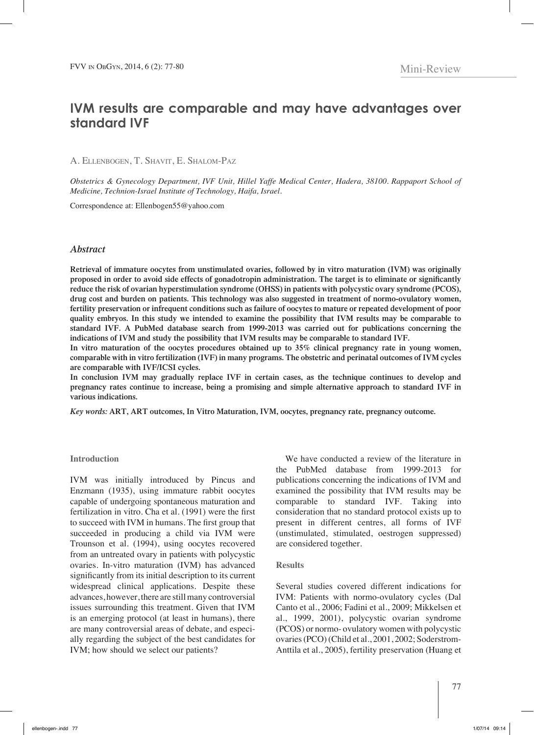# **IVM results are comparable and may have advantages over standard IVF**

A. Ellenbogen, T. Shavit, E. Shalom-Paz

*Obstetrics & Gynecology Department, IVF Unit, Hillel Yaffe Medical Center, Hadera, 38100. Rappaport School of Medicine, Technion-Israel Institute of Technology, Haifa, Israel.* 

Correspondence at: Ellenbogen55@yahoo.com

## *Abstract*

**Retrieval of immature oocytes from unstimulated ovaries, followed by in vitro maturation (IVM) was originally proposed in order to avoid side effects of gonadotropin administration. The target is to eliminate or significantly reduce the risk of ovarian hyperstimulation syndrome (OHSS) in patients with polycystic ovary syndrome (PCOS), drug cost and burden on patients. This technology was also suggested in treatment of normo-ovulatory women, fertility preservation or infrequent conditions such as failure of oocytes to mature or repeated development of poor quality embryos. In this study we intended to examine the possibility that IVM results may be comparable to standard IVF. A PubMed database search from 1999-2013 was carried out for publications concerning the indications of IVM and study the possibility that IVM results may be comparable to standard IVF.** 

**In vitro maturation of the oocytes procedures obtained up to 35% clinical pregnancy rate in young women, comparable with in vitro fertilization (IVF) in many programs. The obstetric and perinatal outcomes of IVM cycles are comparable with IVF/ICSI cycles.**

**In conclusion IVM may gradually replace IVF in certain cases, as the technique continues to develop and pregnancy rates continue to increase, being a promising and simple alternative approach to standard IVF in various indications.**

*Key words:* **ART, ART outcomes, In Vitro Maturation, IVM, oocytes, pregnancy rate, pregnancy outcome.**

#### **Introduction**

IVM was initially introduced by Pincus and Enzmann (1935), using immature rabbit oocytes capable of undergoing spontaneous maturation and fertilization in vitro. Cha et al. (1991) were the first to succeed with IVM in humans. The first group that succeeded in producing a child via IVM were Trounson et al. (1994), using oocytes recovered from an untreated ovary in patients with polycystic ovaries. In-vitro maturation (IVM) has advanced significantly from its initial description to its current widespread clinical applications. Despite these advances, however, there are still many controversial issues surrounding this treatment. Given that IVM is an emerging protocol (at least in humans), there are many controversial areas of debate, and especially regarding the subject of the best candidates for IVM; how should we select our patients?

We have conducted a review of the literature in the PubMed database from 1999-2013 for publications concerning the indications of IVM and examined the possibility that IVM results may be comparable to standard IVF. Taking into consideration that no standard protocol exists up to present in different centres, all forms of IVF (unstimulated, stimulated, oestrogen suppressed) are considered together.

### **Results**

Several studies covered different indications for IVM: Patients with normo-ovulatory cycles (Dal Canto et al., 2006; Fadini et al., 2009; Mikkelsen et al., 1999, 2001), polycystic ovarian syndrome (PCOS) or normo- ovulatory women with polycystic ovaries (PCO) (Child et al., 2001, 2002; Soderstrom-Anttila et al., 2005), fertility preservation (Huang et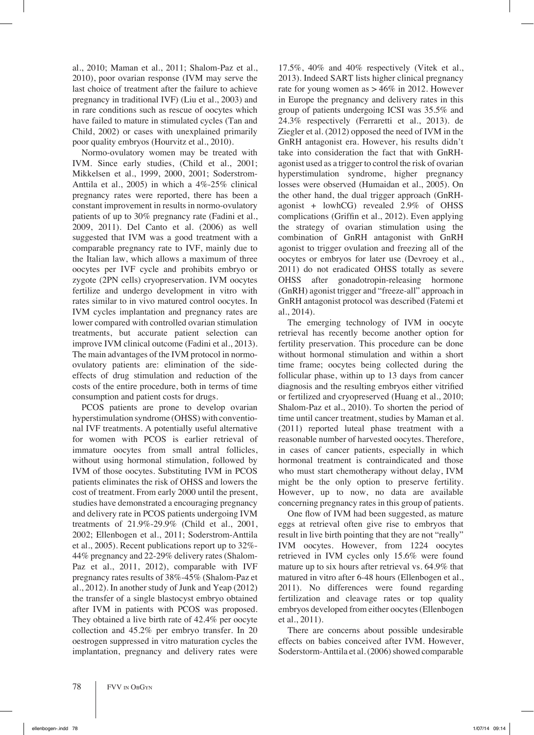al., 2010; Maman et al., 2011; Shalom-Paz et al., 2010), poor ovarian response (IVM may serve the last choice of treatment after the failure to achieve pregnancy in traditional IVF) (Liu et al., 2003) and in rare conditions such as rescue of oocytes which have failed to mature in stimulated cycles (Tan and Child, 2002) or cases with unexplained primarily poor quality embryos (Hourvitz et al., 2010).

Normo-ovulatory women may be treated with IVM. Since early studies, (Child et al., 2001; Mikkelsen et al., 1999, 2000, 2001; Soderstrom-Anttila et al., 2005) in which a 4%-25% clinical pregnancy rates were reported, there has been a constant improvement in results in normo-ovulatory patients of up to 30% pregnancy rate (Fadini et al., 2009, 2011). Del Canto et al. (2006) as well suggested that IVM was a good treatment with a comparable pregnancy rate to IVF, mainly due to the Italian law, which allows a maximum of three oocytes per IVF cycle and prohibits embryo or zygote (2PN cells) cryopreservation. IVM oocytes fertilize and undergo development in vitro with rates similar to in vivo matured control oocytes. In IVM cycles implantation and pregnancy rates are lower compared with controlled ovarian stimulation treatments, but accurate patient selection can improve IVM clinical outcome (Fadini et al., 2013). The main advantages of the IVM protocol in normoovulatory patients are: elimination of the sideeffects of drug stimulation and reduction of the costs of the entire procedure, both in terms of time consumption and patient costs for drugs.

PCOS patients are prone to develop ovarian hyperstimulation syndrome (OHSS) with conventional IVF treatments. A potentially useful alternative for women with PCOS is earlier retrieval of immature oocytes from small antral follicles, without using hormonal stimulation, followed by IVM of those oocytes. Substituting IVM in PCOS patients eliminates the risk of OHSS and lowers the cost of treatment. From early 2000 until the present, studies have demonstrated a encouraging pregnancy and delivery rate in PCOS patients undergoing IVM treatments of 21.9%-29.9% (Child et al., 2001, 2002; Ellenbogen et al., 2011; Soderstrom-Anttila et al., 2005). Recent publications report up to 32%- 44% pregnancy and 22-29% delivery rates (Shalom-Paz et al., 2011, 2012), comparable with IVF pregnancy rates results of 38%-45% (Shalom-Paz et al., 2012). In another study of Junk and Yeap (2012) the transfer of a single blastocyst embryo obtained after IVM in patients with PCOS was proposed. They obtained a live birth rate of 42.4% per oocyte collection and 45.2% per embryo transfer. In 20 oestrogen suppressed in vitro maturation cycles the implantation, pregnancy and delivery rates were 17.5%, 40% and 40% respectively (Vitek et al., 2013). Indeed SART lists higher clinical pregnancy rate for young women as  $> 46\%$  in 2012. However in Europe the pregnancy and delivery rates in this group of patients undergoing ICSI was 35.5% and 24.3% respectively (Ferraretti et al., 2013). de Ziegler et al. (2012) opposed the need of IVM in the GnRH antagonist era. However, his results didn't take into consideration the fact that with GnRHagonist used as a trigger to control the risk of ovarian hyperstimulation syndrome, higher pregnancy losses were observed (Humaidan et al., 2005). On the other hand, the dual trigger approach (GnRHagonist + lowhCG) revealed 2.9% of OHSS complications (Griffin et al., 2012). Even applying the strategy of ovarian stimulation using the combination of GnRH antagonist with GnRH agonist to trigger ovulation and freezing all of the oocytes or embryos for later use (Devroey et al., 2011) do not eradicated OHSS totally as severe OHSS after gonadotropin-releasing hormone (GnRH) agonist trigger and "freeze-all" approach in GnRH antagonist protocol was described (Fatemi et al., 2014).

The emerging technology of IVM in oocyte retrieval has recently become another option for fertility preservation. This procedure can be done without hormonal stimulation and within a short time frame; oocytes being collected during the follicular phase, within up to 13 days from cancer diagnosis and the resulting embryos either vitrified or fertilized and cryopreserved (Huang et al., 2010; Shalom-Paz et al., 2010). To shorten the period of time until cancer treatment, studies by Maman et al. (2011) reported luteal phase treatment with a reasonable number of harvested oocytes. Therefore, in cases of cancer patients, especially in which hormonal treatment is contraindicated and those who must start chemotherapy without delay, IVM might be the only option to preserve fertility. However, up to now, no data are available concerning pregnancy rates in this group of patients.

One flow of IVM had been suggested, as mature eggs at retrieval often give rise to embryos that result in live birth pointing that they are not "really" IVM oocytes. However, from 1224 oocytes retrieved in IVM cycles only 15.6% were found mature up to six hours after retrieval vs. 64.9% that matured in vitro after 6-48 hours (Ellenbogen et al., 2011). No differences were found regarding fertilization and cleavage rates or top quality embryos developed from either oocytes (Ellenbogen et al., 2011).

There are concerns about possible undesirable effects on babies conceived after IVM. However, Soderstorm-Anttila et al. (2006) showed comparable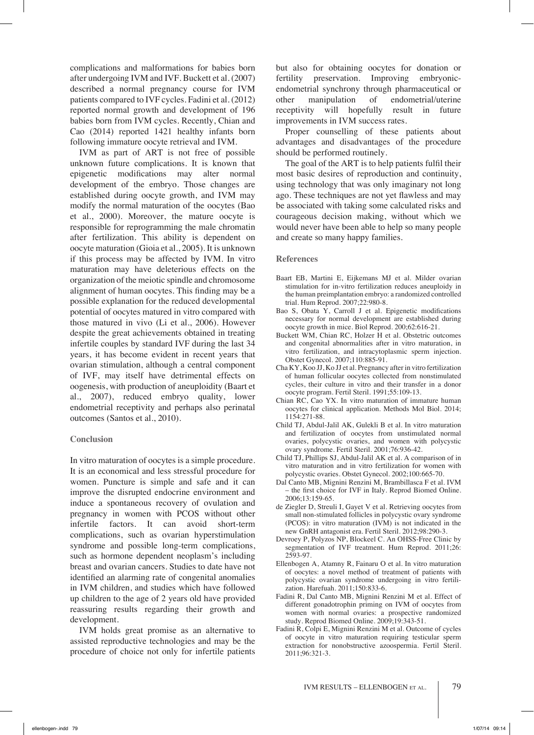complications and malformations for babies born after undergoing IVM and IVF. Buckett et al. (2007) described a normal pregnancy course for IVM patients compared to IVF cycles. Fadini et al. (2012) reported normal growth and development of 196 babies born from IVM cycles. Recently, Chian and Cao (2014) reported 1421 healthy infants born following immature oocyte retrieval and IVM.

IVM as part of ART is not free of possible unknown future complications. It is known that epigenetic modifications may alter normal development of the embryo. Those changes are established during oocyte growth, and IVM may modify the normal maturation of the oocytes (Bao et al., 2000). Moreover, the mature oocyte is responsible for reprogramming the male chromatin after fertilization. This ability is dependent on oocyte maturation (Gioia et al., 2005). It is unknown if this process may be affected by IVM. In vitro maturation may have deleterious effects on the organization of the meiotic spindle and chromosome alignment of human oocytes. This finding may be a possible explanation for the reduced developmental potential of oocytes matured in vitro compared with those matured in vivo (Li et al., 2006). However despite the great achievements obtained in treating infertile couples by standard IVF during the last 34 years, it has become evident in recent years that ovarian stimulation, although a central component of IVF, may itself have detrimental effects on oogenesis, with production of aneuploidity (Baart et al., 2007), reduced embryo quality, lower endometrial receptivity and perhaps also perinatal outcomes (Santos et al., 2010).

#### **Conclusion**

In vitro maturation of oocytes is a simple procedure. It is an economical and less stressful procedure for women. Puncture is simple and safe and it can improve the disrupted endocrine environment and induce a spontaneous recovery of ovulation and pregnancy in women with PCOS without other infertile factors. It can avoid short-term complications, such as ovarian hyperstimulation syndrome and possible long-term complications, such as hormone dependent neoplasm's including breast and ovarian cancers. Studies to date have not identified an alarming rate of congenital anomalies in IVM children, and studies which have followed up children to the age of 2 years old have provided reassuring results regarding their growth and development.

IVM holds great promise as an alternative to assisted reproductive technologies and may be the procedure of choice not only for infertile patients but also for obtaining oocytes for donation or fertility preservation. Improving embryonicendometrial synchrony through pharmaceutical or other manipulation of endometrial/uterine receptivity will hopefully result in future improvements in IVM success rates.

Proper counselling of these patients about advantages and disadvantages of the procedure should be performed routinely.

The goal of the ART is to help patients fulfil their most basic desires of reproduction and continuity, using technology that was only imaginary not long ago. These techniques are not yet flawless and may be associated with taking some calculated risks and courageous decision making, without which we would never have been able to help so many people and create so many happy families.

#### **References**

- Baart EB, Martini E, Eijkemans MJ et al. Milder ovarian stimulation for in-vitro fertilization reduces aneuploidy in the human preimplantation embryo: a randomized controlled trial. Hum Reprod. 2007;22:980-8.
- Bao S, Obata  $\hat{Y}$ , Carroll J et al. Epigenetic modifications necessary for normal development are established during oocyte growth in mice. Biol Reprod. 200;62:616-21.
- Buckett WM, Chian RC, Holzer H et al. Obstetric outcomes and congenital abnormalities after in vitro maturation, in vitro fertilization, and intracytoplasmic sperm injection. Obstet Gynecol. 2007;110:885-91.
- Cha KY, Koo JJ, Ko JJ et al. Pregnancy after in vitro fertilization of human follicular oocytes collected from nonstimulated cycles, their culture in vitro and their transfer in a donor oocyte program. Fertil Steril. 1991;55:109-13.
- Chian RC, Cao YX. In vitro maturation of immature human oocytes for clinical application. Methods Mol Biol. 2014; 1154:271-88.
- Child TJ, Abdul-Jalil AK, Gulekli B et al. In vitro maturation and fertilization of oocytes from unstimulated normal ovaries, polycystic ovaries, and women with polycystic ovary syndrome. Fertil Steril. 2001;76:936-42.
- Child TJ, Phillips SJ, Abdul-Jalil AK et al. A comparison of in vitro maturation and in vitro fertilization for women with polycystic ovaries. Obstet Gynecol. 2002;100:665-70.
- Dal Canto MB, Mignini Renzini M, Brambillasca F et al. IVM – the first choice for IVF in Italy. Reprod Biomed Online. 2006;13:159-65.
- de Ziegler D, Streuli I, Gayet V et al. Retrieving oocytes from small non-stimulated follicles in polycystic ovary syndrome (PCOS): in vitro maturation (IVM) is not indicated in the new GnRH antagonist era. Fertil Steril. 2012;98:290-3.
- Devroey P, Polyzos NP, Blockeel C. An OHSS-Free Clinic by segmentation of IVF treatment. Hum Reprod. 2011;26: 2593-97.
- Ellenbogen A, Atamny R, Fainaru O et al. In vitro maturation of oocytes: a novel method of treatment of patients with polycystic ovarian syndrome undergoing in vitro fertilization. Harefuah. 2011;150:833-6.
- Fadini R, Dal Canto MB, Mignini Renzini M et al. Effect of different gonadotrophin priming on IVM of oocytes from women with normal ovaries: a prospective randomized study. Reprod Biomed Online. 2009;19:343-51.
- Fadini R, Colpi E, Mignini Renzini M et al. Outcome of cycles of oocyte in vitro maturation requiring testicular sperm extraction for nonobstructive azoospermia. Fertil Steril. 2011;96:321-3.